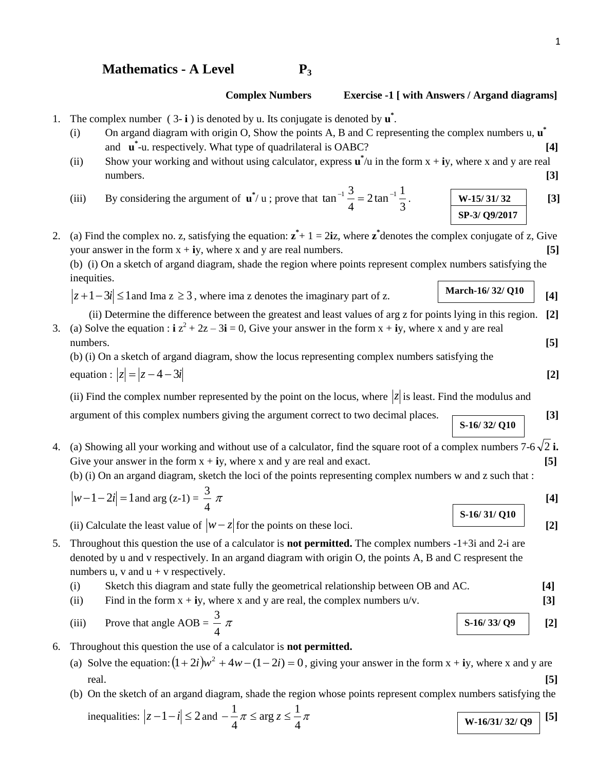## **Mathematics - A Level P<sup>3</sup>**

### **Complex Numbers Exercise -1 [ with Answers / Argand diagrams]**

- 1. The complex number  $(3-i)$  is denoted by u. Its conjugate is denoted by  $\mathbf{u}^*$ .
	- (i) On argand diagram with origin O, Show the points A, B and C representing the complex numbers u, **u \*** and **u \*** -u. respectively. What type of quadrilateral is OABC? **[4]**
	- (ii) Show your working and without using calculator, express  $\mathbf{u}^* / u$  in the form  $x + iy$ , where x and y are real numbers. **[3]**
	- (iii) By considering the argument of  $\mathbf{u}^* / \mathbf{u}$ ; prove that 3 2 tan  $\frac{1}{2}$ 4  $\tan^{-1} \frac{3}{7} = 2 \tan^{-1} \frac{1}{2}$ . **[3] [3] W-15/ 31/ 32 SP-3/ Q9/2017**
- 2. (a) Find the complex no. z, satisfying the equation:  $\mathbf{z}^* + 1 = 2i\mathbf{z}$ , where  $\mathbf{z}^*$  denotes the complex conjugate of z, Give your answer in the form  $x + iy$ , where x and y are real numbers.  $[5]$

(b) (i) On a sketch of argand diagram, shade the region where points represent complex numbers satisfying the inequities.

 $|z+1-3i| \leq 1$  and Ima  $z \geq 3$ , where ima z denotes the imaginary part of z.

 (ii) Determine the difference between the greatest and least values of arg z for points lying in this region. **[2]** 3. (a) Solve the equation :  $\mathbf{i} \times \mathbf{z}^2 + 2\mathbf{z} - 3\mathbf{i} = 0$ , Give your answer in the form  $x + \mathbf{i}y$ , where x and y are real numbers. **[5]**

(b) (i) On a sketch of argand diagram, show the locus representing complex numbers satisfying the equation :  $|z| = |z - 4 - 3i|$  [2]

(ii) Find the complex number represented by the point on the locus, where  $|z|$  is least. Find the modulus and

argument of this complex numbers giving the argument correct to two decimal places. **[3]**

4. (a) Showing all your working and without use of a calculator, find the square root of a complex numbers  $7-6\sqrt{2}$  i. Give your answer in the form  $x + iy$ , where x and y are real and exact.  $[5]$ 

(b) (i) On an argand diagram, sketch the loci of the points representing complex numbers w and z such that :

$$
|w-1-2i|=1
$$
 and  $\arg(z-1)=\frac{3}{4}\pi$  [4]

(ii) Calculate the least value of  $|w-z|$  for the points on these loci. [2]

5. Throughout this question the use of a calculator is **not permitted.** The complex numbers -1+3i and 2-i are denoted by u and v respectively. In an argand diagram with origin O, the points A, B and C respresent the numbers u, v and  $u + v$  respectively.

- (i) Sketch this diagram and state fully the geometrical relationship between OB and AC. **[4]**
- (ii) Find in the form  $x + iy$ , where x and y are real, the complex numbers  $u/v$ . [3]
- (iii) Prove that angle  $AOB =$ 4 3  $\pi$  S-16/33/ Q9 [2]
- 6. Throughout this question the use of a calculator is **not permitted.**
	- (a) Solve the equation:  $(1 + 2i)w^2 + 4w (1 2i) = 0$ , giving your answer in the form  $x + iy$ , where x and y are real. **[5]**
	- (b) On the sketch of an argand diagram, shade the region whose points represent complex numbers satisfying the

inequalities: 
$$
|z - 1 - i| \le 2
$$
 and  $-\frac{1}{4}\pi \le \arg z \le \frac{1}{4}\pi$  [5]

**March-16/ 32/ Q10**

**S-16/ 32/ Q10**

- **S-16/ 31/ Q10**
	-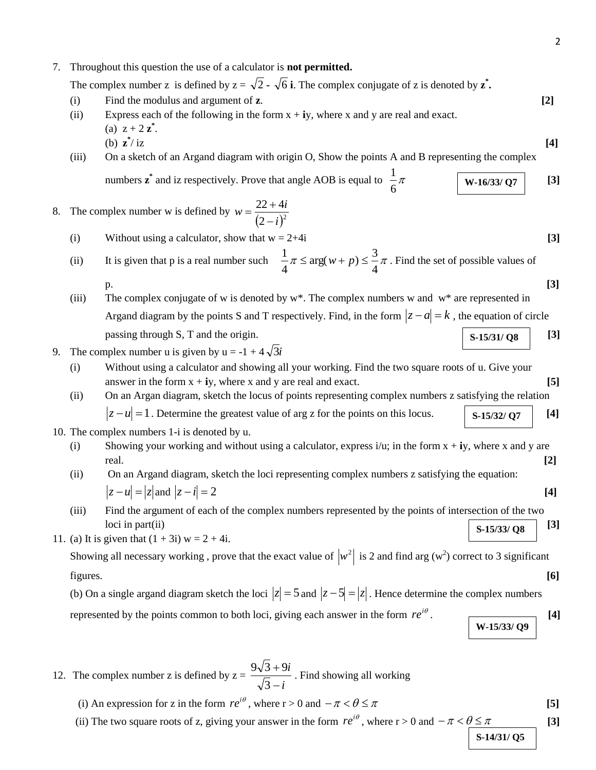7. Throughout this question the use of a calculator is **not permitted.**

The complex number z is defined by  $z = \sqrt{2} - \sqrt{6}$  **i**. The complex conjugate of z is denoted by  $z^*$ .

- (i) Find the modulus and argument of **z**. **[2]**
- (ii) Express each of the following in the form  $x + iy$ , where x and y are real and exact. (a)  $z + 2 z^*$ . (b) **z \*** / iz **[4]**
- (iii) On a sketch of an Argand diagram with origin O, Show the points A and B representing the complex numbers  $\mathbf{z}^*$  and iz respectively. Prove that angle AOB is equal to  $\frac{1}{6}\pi$ 1  $\vert$  **W-16/33/ Q7**  $\vert$  [3]

### 8. The complex number w is defined by  $(2-i)^2$  $22 + 4$ *i*  $w = \frac{22 + 4i}{(x - 3)^2}$ - $=\frac{22+4i}{(x^2+2i)}$

- (i) Without using a calculator, show that  $w = 2+4i$  [3]
- (ii) It is given that p is a real number such  $-\pi \le \arg(w+p) \le -\pi$ 4  $arg(w+p) \leq \frac{3}{4}$ 4  $\frac{1}{\alpha} \pi \le \arg(w+p) \le \frac{3}{\alpha} \pi$ . Find the set of possible values of p. **[3]**
- (iii) The complex conjugate of w is denoted by w\*. The complex numbers w and w\* are represented in Argand diagram by the points S and T respectively. Find, in the form  $|z - a| = k$ , the equation of circle passing through S, T and the origin. **[3] S-15/31/ Q8**
- 9. The complex number u is given by  $u = -1 + 4\sqrt{3}i$ 
	- (i) Without using a calculator and showing all your working. Find the two square roots of u. Give your answer in the form  $x + iy$ , where x and y are real and exact. **[5]**
	- (ii) On an Argan diagram, sketch the locus of points representing complex numbers z satisfying the relation  $|z - u| = 1$ . Determine the greatest value of arg z for the points on this locus. **[4]**  $\begin{bmatrix} 1 & 1 \end{bmatrix}$  [4] **S-15/32/ Q7**
- 10. The complex numbers 1-i is denoted by u.
	- (i) Showing your working and without using a calculator, express i/u; in the form x + **i**y, where x and y are real. **[2]**
	- (ii) On an Argand diagram, sketch the loci representing complex numbers z satisfying the equation:  $|z - u| = |z|$  and  $|z - i| = 2$  [4]
	- (iii) Find the argument of each of the complex numbers represented by the points of intersection of the two  $\text{loci in part(ii)}$  [3] **S-15/33/ Q8**
- 11. (a) It is given that  $(1 + 3i) w = 2 + 4i$ .

Showing all necessary working, prove that the exact value of  $|w^2|$  is 2 and find arg (w<sup>2</sup>) correct to 3 significant figures. **[6]**

(b) On a single argand diagram sketch the loci  $|z| = 5$  and  $|z - 5| = |z|$ . Hence determine the complex numbers represented by the points common to both loci, giving each answer in the form  $re^{i\theta}$ .  $\qquad \qquad \boxed{4}$ 

- 12. The complex number z is defined by  $z =$ *i i*  $\overline{a}$  $\ddot{}$ 3  $\frac{9\sqrt{3}+9i}{\sqrt{2}}$ . Find showing all working
	- (i) An expression for z in the form  $re^{i\theta}$ , where  $r > 0$  and  $-\pi < \theta \le \pi$  [5]
	- (ii) The two square roots of z, giving your answer in the form  $re^{i\theta}$ , where  $r > 0$  and  $-\pi < \theta \le \pi$  [3]

**S-14/31/ Q5**

**W-15/33/ Q9**

- 
-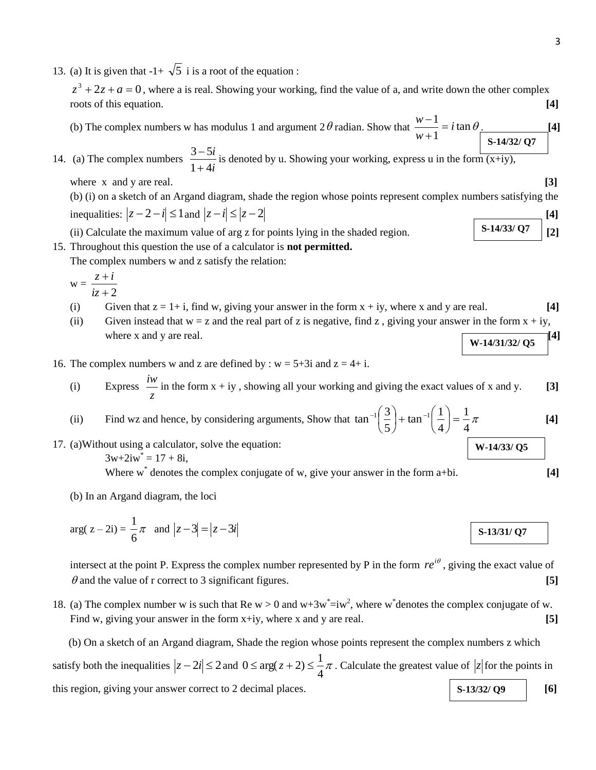13. (a) It is given that  $-1 + \sqrt{5}$  i is a root of the equation :

 $z^3 + 2z + a = 0$ , where a is real. Showing your working, find the value of a, and write down the other complex roots of this equation. **[4]**

(b) The complex numbers w has modulus 1 and argument  $2\theta$  radian. Show that  $\frac{m-1}{n} = i \tan \theta$ 1  $\frac{1}{i} = i$ *w*  $\frac{w-1}{2}$  $\ddot{}$  $\frac{-1}{i} = i \tan \theta$ . [4] **S-14/32/ Q7**

14. (a) The complex numbers *i i*  $1 + 4$  $3 - 5$  $\ddot{}$  $\frac{-5i}{\sqrt{1}}$  is denoted by u. Showing your working, express u in the form  $\frac{1}{(x+iy)}$ ,

where x and y are real. **[3]**  $\qquad \qquad$  [3]

(b) (i) on a sketch of an Argand diagram, shade the region whose points represent complex numbers satisfying the  $\frac{1}{2}$  inequalities:  $|z - 2 - i| \leq 1$  and  $|z - i| \leq |z - 2|$ **S-14/33/ Q7**

(ii) Calculate the maximum value of arg z for points lying in the shaded region.  $\begin{bmatrix} 5\text{-}14/337 \text{ Q}^7 \end{bmatrix}$  [2]

15. Throughout this question the use of a calculator is **not permitted.**

The complex numbers w and z satisfy the relation:

$$
w = \frac{z + i}{iz + 2}
$$

- (i) Given that  $z = 1 + i$ , find w, giving your answer in the form  $x + iy$ , where x and y are real. [4]
- (ii) Given instead that  $w = z$  and the real part of z is negative, find z, giving your answer in the form  $x + iy$ , where x and y are real.  $[4]$
- 16. The complex numbers w and z are defined by :  $w = 5+3i$  and  $z = 4+i$ .
	- (i) Express *z*  $\frac{iw}{w}$  in the form  $x + iy$ , showing all your working and giving the exact values of x and y. [3]

(ii) Find wz and hence, by considering arguments, Show that 
$$
\tan^{-1}\left(\frac{3}{5}\right) + \tan^{-1}\left(\frac{1}{4}\right) =
$$

17. (a)Without using a calculator, solve the equation:  $3w+2iw^* = 17 + 8i$ ,

Where w<sup>\*</sup> denotes the complex conjugate of w, give your answer in the form a+bi. [4]

(b) In an Argand diagram, the loci

$$
\arg(z - 2i) = \frac{1}{6}\pi \text{ and } |z - 3| = |z - 3i|
$$

intersect at the point P. Express the complex number represented by P in the form  $re^{i\theta}$ , giving the exact value of  $\theta$  and the value of r correct to 3 significant figures.  $[5]$ 

18. (a) The complex number w is such that Re  $w > 0$  and  $w + 3w^* = iw^2$ , where w denotes the complex conjugate of w. Find w, giving your answer in the form x+iy, where x and y are real. **[5]** [5]

 (b) On a sketch of an Argand diagram, Shade the region whose points represent the complex numbers z which satisfy both the inequalities  $|z - 2i| \le 2$  and  $0 \le \arg(z + 2) \le \frac{1}{4}\pi$  $0 \le \arg(z+2) \le \frac{1}{z}\pi$ . Calculate the greatest value of  $|z|$  for the points in this region, giving your answer correct to 2 decimal places. **[6] [6] [6] [6] S-13/32/ Q9**

**W-14/31/32/ Q5**

$$
\overbrace{\phantom{aaaaa}}
$$

**W-14/33/ Q5**

**[4]**

 $\frac{1}{4}$ 1

4

J  $\left(\frac{1}{4}\right)$  $\setminus$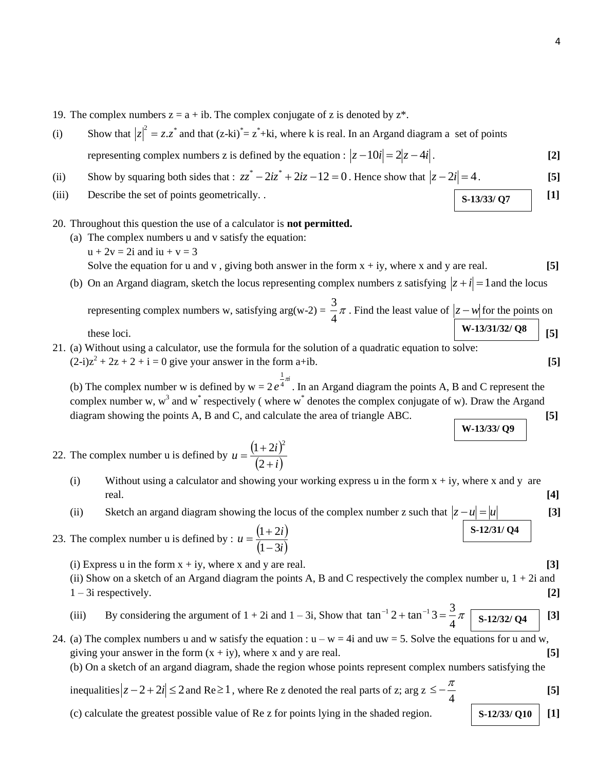- 19. The complex numbers  $z = a + ib$ . The complex conjugate of z is denoted by  $z^*$ .
- (i) Show that  $|z|^2 = z \cdot z^*$  and that  $(z-ki)^* = z^* + ki$ , where k is real. In an Argand diagram a set of points representing complex numbers z is defined by the equation :  $|z - 10i| = 2|z - 4i|$ . [2]
- (ii) Show by squaring both sides that :  $zz^* 2iz^* + 2iz 12 = 0$ . Hence show that  $|z 2i| = 4$ . [5]
- (iii) Describe the set of points geometrically. .  $\begin{bmatrix} 1 \end{bmatrix}$
- 20. Throughout this question the use of a calculator is **not permitted.**
	- (a) The complex numbers u and v satisfy the equation:  $u + 2v = 2i$  and  $iu + v = 3$ Solve the equation for u and v, giving both answer in the form  $x + iy$ , where x and y are real.  $[5]$
	- (b) On an Argand diagram, sketch the locus representing complex numbers z satisfying  $|z + i| = 1$  and the locus representing complex numbers w, satisfying  $arg(w-2) = \frac{3}{4}\pi$  $\frac{3}{4}\pi$ . Find the least value of  $|z-w|$  for the points on

these loci. **[5] W-13/31/32/ Q8**

21. (a) Without using a calculator, use the formula for the solution of a quadratic equation to solve:  $(2-i)z^2 + 2z + 2 + i = 0$  give your answer in the form a+ib. **[5]** 

(b) The complex number w is defined by  $w = 2e^{\frac{1}{4}\pi i}$ 1 . In an Argand diagram the points A, B and C represent the complex number w,  $w<sup>3</sup>$  and  $w<sup>*</sup>$  respectively (where  $w<sup>*</sup>$  denotes the complex conjugate of w). Draw the Argand diagram showing the points A, B and C, and calculate the area of triangle ABC. [5] **W-13/33/ Q9**

- 22. The complex number u is defined by  $u = \frac{(1+2i)^2}{(2-i)^2}$  $(2+i)$  $u = \frac{(1+2i)}{(2+i)}$  $^{+}$  $=\frac{(1+1)^2}{(1+1)^2}$ 2  $(1+2i)^2$ 
	- (i) Without using a calculator and showing your working express u in the form  $x + iy$ , where x and y are real. **[4]**
	- (ii) Sketch an argand diagram showing the locus of the complex number z such that  $|z u| = |u|$  [3]

23. The complex number u is defined by : 
$$
u = \frac{(1+2i)}{(1-3i)}
$$
 S-12/31/Q4

(i) Express u in the form  $x + iy$ , where x and y are real.  $[3]$ 

(ii) Show on a sketch of an Argand diagram the points A, B and C respectively the complex number u,  $1 + 2i$  and 1 – 3i respectively. **[2]**

- (iii) By considering the argument of  $1 + 2i$  and  $1 3i$ , Show that  $\tan^{-1} 2 + \tan^{-1} 3 = \frac{3}{4}\pi$  $\tan^{-1} 2 + \tan^{-1} 3 = \frac{3}{4} \pi \sqrt{8 - 12/32/94}$  [3]
- 24. (a) The complex numbers u and w satisfy the equation :  $u w = 4i$  and  $uw = 5$ . Solve the equations for u and w, giving your answer in the form  $(x + iy)$ , where x and y are real.  $[5]$

(b) On a sketch of an argand diagram, shade the region whose points represent complex numbers satisfying the

inequalities 
$$
|z-2+2i| \le 2
$$
 and Re  $\ge 1$ , where Re z denoted the real parts of z; arg  $z \le -\frac{\pi}{4}$  [5]

(c) calculate the greatest possible value of Re z for points lying in the shaded region.  $\begin{bmatrix} S-12/33/010 \end{bmatrix}$  [1]

**S-13/33/ Q7**

- 
- 

**S-12/33/ Q10**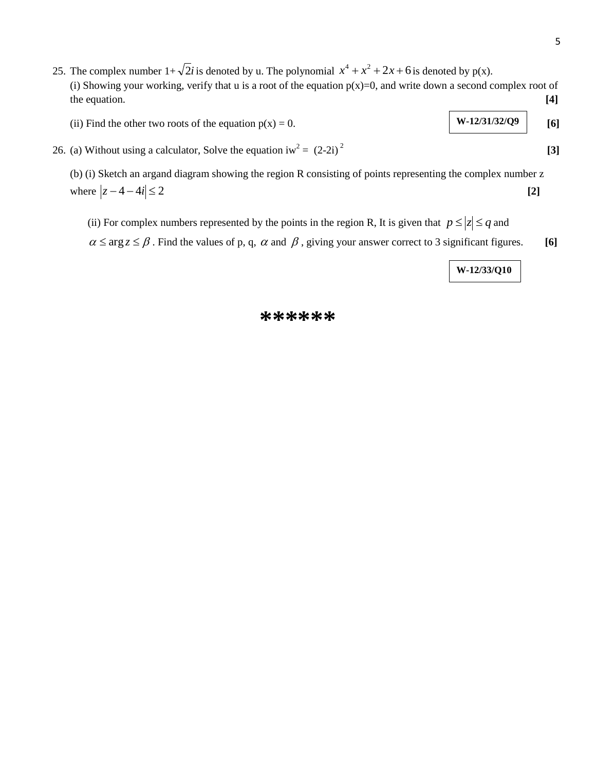- 25. The complex number  $1+\sqrt{2}i$  is denoted by u. The polynomial  $x^4 + x^2 + 2x + 6$  is denoted by p(x). (i) Showing your working, verify that u is a root of the equation  $p(x)=0$ , and write down a second complex root of the equation. **[4]**
	- (ii) Find the other two roots of the equation  $p(x) = 0$ . **W**-12/31/32/Q<sup>9</sup> [6] **W-12/31/32/Q9**
- 26. (a) Without using a calculator, Solve the equation iw<sup>2</sup> =  $(2-2i)^2$

(b) (i) Sketch an argand diagram showing the region R consisting of points representing the complex number z where  $|z - 4 - 4i| \le 2$  [2]

- (ii) For complex numbers represented by the points in the region R, It is given that  $p \le |z| \le q$  and
- $\alpha \le \arg z \le \beta$ . Find the values of p, q,  $\alpha$  and  $\beta$ , giving your answer correct to 3 significant figures. [6]

**W-12/33/Q10**

## **\*\*\*\*\*\***

$$
[3]
$$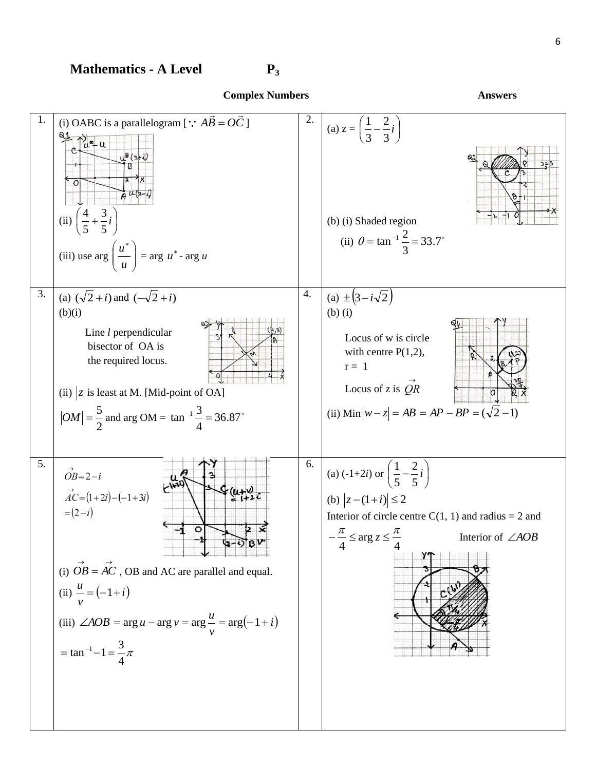# **Mathematics - A Level P<sup>3</sup>**



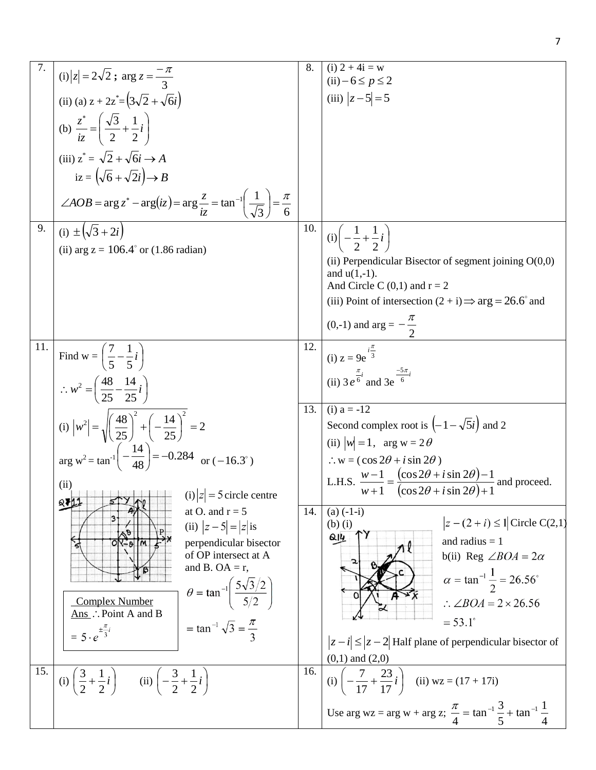|     | (i) $ z  = 2\sqrt{2}$ ; $\arg z = \frac{-\pi}{2}$<br>(ii) (a) $z + 2z^* = (3\sqrt{2} + \sqrt{6}i)$                                                                                                                                                                                                                                                                             | 8.         | $(i) 2 + 4i = w$<br>$(ii) - 6 \le p \le 2$<br>(iii) $ z-5 =5$                                                                                                                                                                                                                                                                                                                                   |
|-----|--------------------------------------------------------------------------------------------------------------------------------------------------------------------------------------------------------------------------------------------------------------------------------------------------------------------------------------------------------------------------------|------------|-------------------------------------------------------------------------------------------------------------------------------------------------------------------------------------------------------------------------------------------------------------------------------------------------------------------------------------------------------------------------------------------------|
|     | (b) $\frac{z^*}{iz} = \left(\frac{\sqrt{3}}{2} + \frac{1}{2}i\right)$<br>(iii) $z^* = \sqrt{2} + \sqrt{6}i \rightarrow A$<br>$iz = (\sqrt{6} + \sqrt{2}i) \rightarrow B$<br>$\angle AOB = \arg z^* - \arg(iz) = \arg \frac{z}{iz} = \tan^{-1} \left( \frac{1}{\sqrt{3}} \right) = \frac{\pi}{6}$                                                                               |            |                                                                                                                                                                                                                                                                                                                                                                                                 |
| 9.  | (i) $\pm(\sqrt{3}+2i)$<br>(ii) arg $z = 106.4^{\circ}$ or (1.86 radian)                                                                                                                                                                                                                                                                                                        | 10.        | (i) $\left(-\frac{1}{2} + \frac{1}{2}i\right)$<br>(ii) Perpendicular Bisector of segment joining $O(0,0)$<br>and $u(1,-1)$ .<br>And Circle C $(0,1)$ and $r = 2$<br>(iii) Point of intersection $(2 + i) \Rightarrow arg = 26.6^{\circ}$ and<br>(0,-1) and arg = $-\frac{\pi}{2}$                                                                                                               |
| 11. | Find w = $\left(\frac{7}{5} - \frac{1}{5}i\right)$<br>$\therefore w^2 = \left(\frac{48}{25} - \frac{14}{25}i\right)$<br>(i) $ w^2  = \sqrt{\left(\frac{48}{25}\right)^2 + \left(-\frac{14}{25}\right)^2} = 2$<br>arg w <sup>2</sup> = tan <sup>-1</sup> $\left(-\frac{14}{48}\right)$ = -0.284 or (-16.3°)<br>(ii)<br>$\begin{vmatrix} 1 \\ 2 \end{vmatrix} = 5$ circle centre | 12.<br>13. | (i) $z = 9e^{i\frac{\pi}{3}}$<br>(ii) $3e^{\frac{\pi}{6}i}$ and $3e^{\frac{-5\pi}{6}i}$<br>$(i) a = -12$<br>Second complex root is $\left(-1-\sqrt{5}i\right)$ and 2<br>(ii) $ w  = 1$ , arg w = 2 $\theta$<br>$\therefore$ w = (cos 2 $\theta$ + i sin 2 $\theta$ )<br>L.H.S. $\frac{w-1}{w+1} = \frac{(\cos 2\theta + i \sin 2\theta) - 1}{(\cos 2\theta + i \sin 2\theta) + 1}$ and proceed. |
|     | 871<br>at O. and $r = 5$<br>(ii) $ z-5  =  z $ is<br>perpendicular bisector<br>of OP intersect at A<br>and B. OA = $r$ ,<br>$heta = \tan^{-1} \left( \frac{5\sqrt{3}/2}{5/2} \right)$<br><b>Complex Number</b><br>Ans : Point A and B<br>$= \tan^{-1} \sqrt{3} = \frac{\pi}{2}$<br>$= 5 \cdot e^{\pm \frac{\pi}{3}i}$                                                          | 14.        | $(a) (-1-i)$<br>$ z-(2+i) \leq 1 $ Circle C(2,1)<br>$(b)$ $(i)$<br>$Q_1$<br>and radius $= 1$<br>b(ii) Reg $\angle BOA = 2\alpha$<br>$\alpha = \tan^{-1} \frac{1}{2} = 26.56^{\circ}$<br>$\therefore$ $\angle BOA = 2 \times 26.56$<br>$= 53.1^{\circ}$<br>$ z - i  \le  z - 2 $ Half plane of perpendicular bisector of<br>$(0,1)$ and $(2,0)$                                                  |
| 15. | (i) $\left(\frac{3}{2} + \frac{1}{2}i\right)$ (ii) $\left(-\frac{3}{2} + \frac{1}{2}i\right)$                                                                                                                                                                                                                                                                                  | 16.        | (i) $\left(-\frac{7}{17} + \frac{23}{17}i\right)$ (ii) wz = (17 + 17i)<br>Use arg wz = arg w + arg z; $\frac{\pi}{4}$ = tan <sup>-1</sup> $\frac{3}{5}$ + tan <sup>-1</sup> $\frac{1}{4}$                                                                                                                                                                                                       |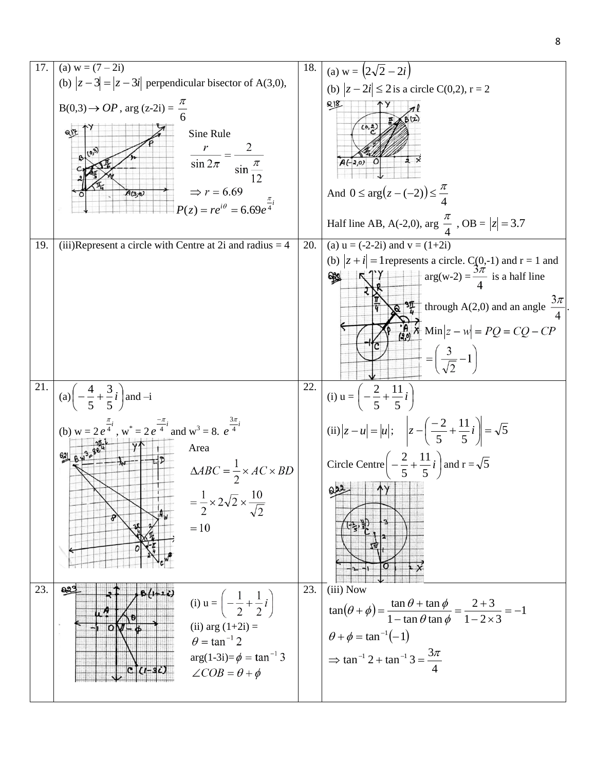![](_page_7_Figure_1.jpeg)